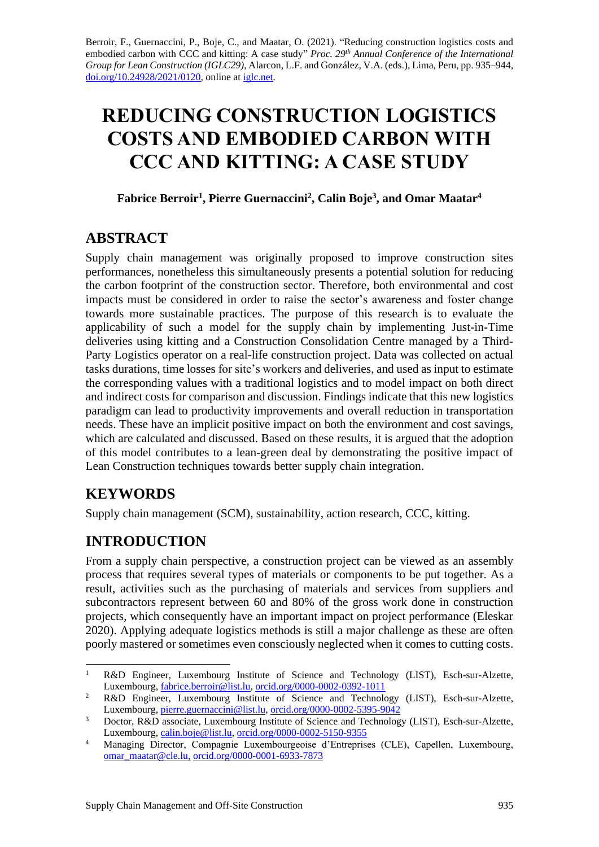Berroir, F., Guernaccini, P., Boje, C., and Maatar, O. (2021). "Reducing construction logistics costs and embodied carbon with CCC and kitting: A case study" *Proc. 29 th Annual Conference of the International Group for Lean Construction (IGLC29),* Alarcon, L.F. and González, V.A. (eds.)*,* Lima, Peru, pp. 935–944, [doi.org/10.24928/2021/0120,](https://doi.org/10.24928/2021/0120) online a[t iglc.net.](http://iglc.net/)

# **REDUCING CONSTRUCTION LOGISTICS COSTS AND EMBODIED CARBON WITH CCC AND KITTING: A CASE STUDY**

**Fabrice Berroir<sup>1</sup> , Pierre Guernaccini<sup>2</sup> , Calin Boje<sup>3</sup> , and Omar Maatar<sup>4</sup>**

# **ABSTRACT**

Supply chain management was originally proposed to improve construction sites performances, nonetheless this simultaneously presents a potential solution for reducing the carbon footprint of the construction sector. Therefore, both environmental and cost impacts must be considered in order to raise the sector's awareness and foster change towards more sustainable practices. The purpose of this research is to evaluate the applicability of such a model for the supply chain by implementing Just-in-Time deliveries using kitting and a Construction Consolidation Centre managed by a Third-Party Logistics operator on a real-life construction project. Data was collected on actual tasks durations, time losses for site's workers and deliveries, and used as input to estimate the corresponding values with a traditional logistics and to model impact on both direct and indirect costs for comparison and discussion. Findings indicate that this new logistics paradigm can lead to productivity improvements and overall reduction in transportation needs. These have an implicit positive impact on both the environment and cost savings, which are calculated and discussed. Based on these results, it is argued that the adoption of this model contributes to a lean-green deal by demonstrating the positive impact of Lean Construction techniques towards better supply chain integration.

# **KEYWORDS**

Supply chain management (SCM), sustainability, action research, CCC, kitting.

# **INTRODUCTION**

From a supply chain perspective, a construction project can be viewed as an assembly process that requires several types of materials or components to be put together. As a result, activities such as the purchasing of materials and services from suppliers and subcontractors represent between 60 and 80% of the gross work done in construction projects, which consequently have an important impact on project performance (Eleskar 2020). Applying adequate logistics methods is still a major challenge as these are often poorly mastered or sometimes even consciously neglected when it comes to cutting costs.

<sup>1</sup> R&D Engineer, Luxembourg Institute of Science and Technology (LIST), Esch-sur-Alzette, Luxembourg[, fabrice.berroir@list.lu,](mailto:fabrice.berroir@list.lu) [orcid.org/0000-0002-0392-1011](https://orcid.org/0000-0002-0392-1011)

<sup>&</sup>lt;sup>2</sup> R&D Engineer, Luxembourg Institute of Science and Technology (LIST), Esch-sur-Alzette, Luxembourg[, pierre.guernaccini@list.lu,](mailto:pierre.guernaccini@list.lu) [orcid.org/0000-0002-5395-9042](https://orcid.org/0000-0002-5395-9042)

<sup>&</sup>lt;sup>3</sup> Doctor, R&D associate, Luxembourg Institute of Science and Technology (LIST), Esch-sur-Alzette, Luxembourg[, calin.boje@list.lu,](mailto:calin.boje@list.lu) [orcid.org/0000-0002-5150-9355](https://orcid.org/0000-0002-5150-9355)

<sup>4</sup> Managing Director, Compagnie Luxembourgeoise d'Entreprises (CLE), Capellen, Luxembourg, [omar\\_maatar@cle.lu,](mailto:omar_maatar@cle.lu) [orcid.org/0000-0001-6933-7873](https://orcid.org/0000-0001-6933-7873)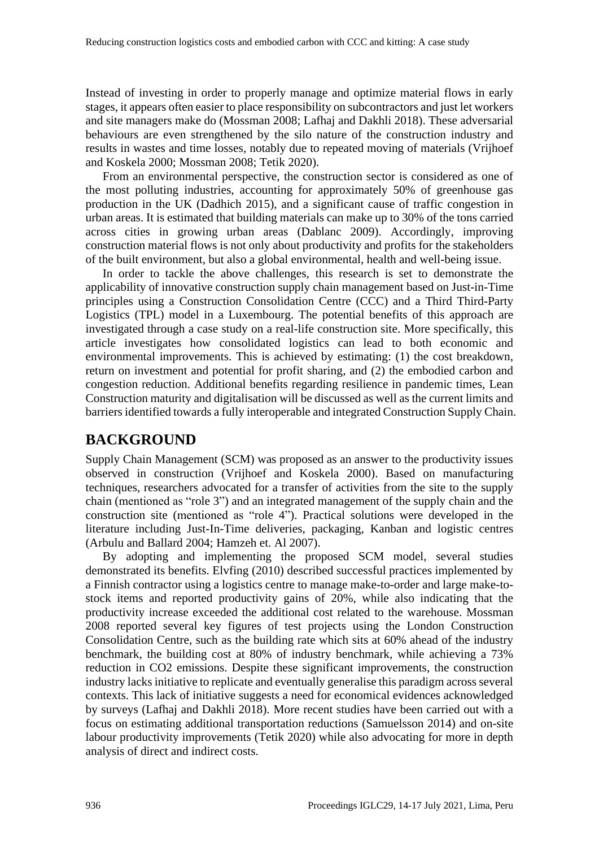Instead of investing in order to properly manage and optimize material flows in early stages, it appears often easier to place responsibility on subcontractors and just let workers and site managers make do (Mossman 2008; Lafhaj and Dakhli 2018). These adversarial behaviours are even strengthened by the silo nature of the construction industry and results in wastes and time losses, notably due to repeated moving of materials (Vrijhoef and Koskela 2000; Mossman 2008; Tetik 2020).

From an environmental perspective, the construction sector is considered as one of the most polluting industries, accounting for approximately 50% of greenhouse gas production in the UK (Dadhich 2015), and a significant cause of traffic congestion in urban areas. It is estimated that building materials can make up to 30% of the tons carried across cities in growing urban areas (Dablanc 2009). Accordingly, improving construction material flows is not only about productivity and profits for the stakeholders of the built environment, but also a global environmental, health and well-being issue.

In order to tackle the above challenges, this research is set to demonstrate the applicability of innovative construction supply chain management based on Just-in-Time principles using a Construction Consolidation Centre (CCC) and a Third Third-Party Logistics (TPL) model in a Luxembourg. The potential benefits of this approach are investigated through a case study on a real-life construction site. More specifically, this article investigates how consolidated logistics can lead to both economic and environmental improvements. This is achieved by estimating: (1) the cost breakdown, return on investment and potential for profit sharing, and (2) the embodied carbon and congestion reduction. Additional benefits regarding resilience in pandemic times, Lean Construction maturity and digitalisation will be discussed as well as the current limits and barriers identified towards a fully interoperable and integrated Construction Supply Chain.

# **BACKGROUND**

Supply Chain Management (SCM) was proposed as an answer to the productivity issues observed in construction (Vrijhoef and Koskela 2000). Based on manufacturing techniques, researchers advocated for a transfer of activities from the site to the supply chain (mentioned as "role 3") and an integrated management of the supply chain and the construction site (mentioned as "role 4"). Practical solutions were developed in the literature including Just-In-Time deliveries, packaging, Kanban and logistic centres (Arbulu and Ballard 2004; Hamzeh et. Al 2007).

By adopting and implementing the proposed SCM model, several studies demonstrated its benefits. Elvfing (2010) described successful practices implemented by a Finnish contractor using a logistics centre to manage make-to-order and large make-tostock items and reported productivity gains of 20%, while also indicating that the productivity increase exceeded the additional cost related to the warehouse. Mossman 2008 reported several key figures of test projects using the London Construction Consolidation Centre, such as the building rate which sits at 60% ahead of the industry benchmark, the building cost at 80% of industry benchmark, while achieving a 73% reduction in CO2 emissions. Despite these significant improvements, the construction industry lacks initiative to replicate and eventually generalise this paradigm across several contexts. This lack of initiative suggests a need for economical evidences acknowledged by surveys (Lafhaj and Dakhli 2018). More recent studies have been carried out with a focus on estimating additional transportation reductions (Samuelsson 2014) and on-site labour productivity improvements (Tetik 2020) while also advocating for more in depth analysis of direct and indirect costs.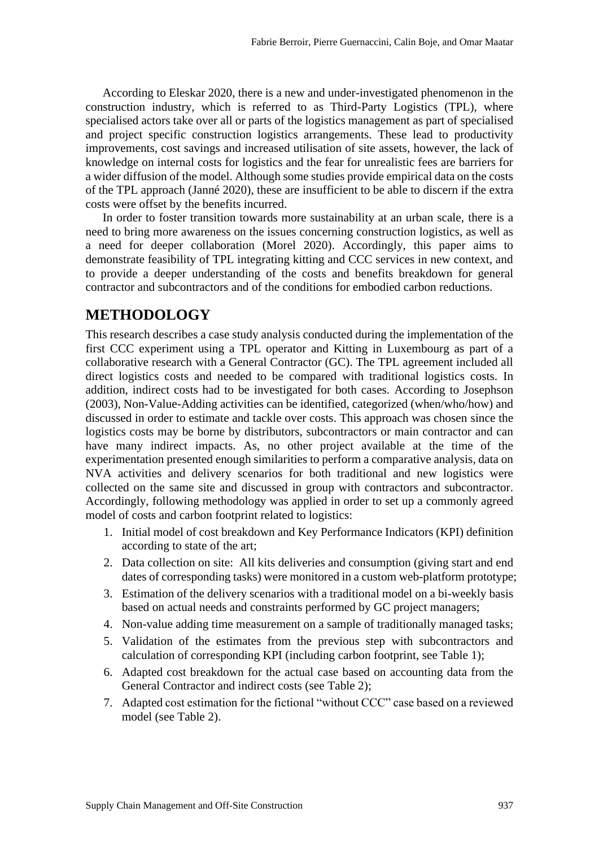According to Eleskar 2020, there is a new and under-investigated phenomenon in the construction industry, which is referred to as Third-Party Logistics (TPL), where specialised actors take over all or parts of the logistics management as part of specialised and project specific construction logistics arrangements. These lead to productivity improvements, cost savings and increased utilisation of site assets, however, the lack of knowledge on internal costs for logistics and the fear for unrealistic fees are barriers for a wider diffusion of the model. Although some studies provide empirical data on the costs of the TPL approach (Janné 2020), these are insufficient to be able to discern if the extra costs were offset by the benefits incurred.

In order to foster transition towards more sustainability at an urban scale, there is a need to bring more awareness on the issues concerning construction logistics, as well as a need for deeper collaboration (Morel 2020). Accordingly, this paper aims to demonstrate feasibility of TPL integrating kitting and CCC services in new context, and to provide a deeper understanding of the costs and benefits breakdown for general contractor and subcontractors and of the conditions for embodied carbon reductions.

# **METHODOLOGY**

This research describes a case study analysis conducted during the implementation of the first CCC experiment using a TPL operator and Kitting in Luxembourg as part of a collaborative research with a General Contractor (GC). The TPL agreement included all direct logistics costs and needed to be compared with traditional logistics costs. In addition, indirect costs had to be investigated for both cases. According to Josephson (2003), Non-Value-Adding activities can be identified, categorized (when/who/how) and discussed in order to estimate and tackle over costs. This approach was chosen since the logistics costs may be borne by distributors, subcontractors or main contractor and can have many indirect impacts. As, no other project available at the time of the experimentation presented enough similarities to perform a comparative analysis, data on NVA activities and delivery scenarios for both traditional and new logistics were collected on the same site and discussed in group with contractors and subcontractor. Accordingly, following methodology was applied in order to set up a commonly agreed model of costs and carbon footprint related to logistics:

- 1. Initial model of cost breakdown and Key Performance Indicators (KPI) definition according to state of the art;
- 2. Data collection on site: All kits deliveries and consumption (giving start and end dates of corresponding tasks) were monitored in a custom web-platform prototype;
- 3. Estimation of the delivery scenarios with a traditional model on a bi-weekly basis based on actual needs and constraints performed by GC project managers;
- 4. Non-value adding time measurement on a sample of traditionally managed tasks;
- 5. Validation of the estimates from the previous step with subcontractors and calculation of corresponding KPI (including carbon footprint, see Table 1);
- 6. Adapted cost breakdown for the actual case based on accounting data from the General Contractor and indirect costs (see Table 2);
- 7. Adapted cost estimation for the fictional "without CCC" case based on a reviewed model (see Table 2).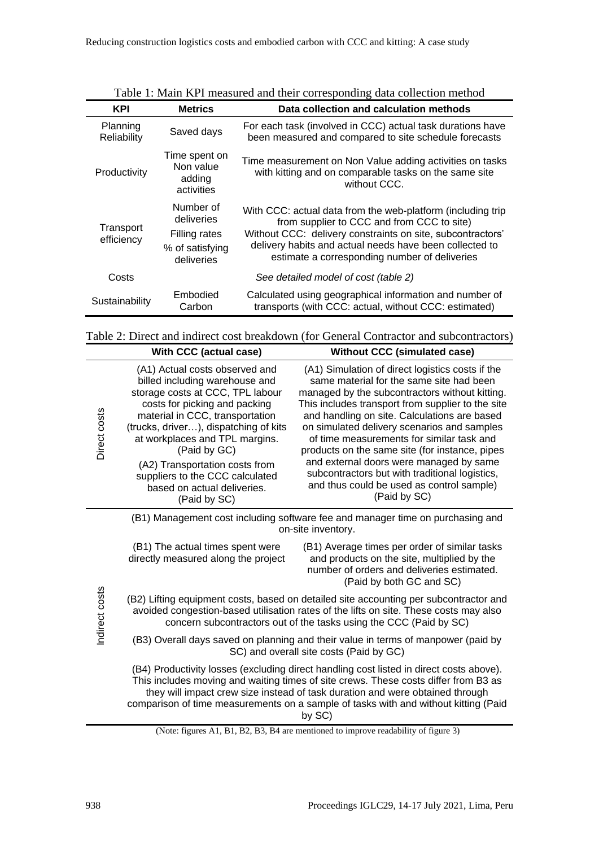| <b>KPI</b>              | <b>Metrics</b>                                                            | Data collection and calculation methods                                                                                                                                                                                                                                             |
|-------------------------|---------------------------------------------------------------------------|-------------------------------------------------------------------------------------------------------------------------------------------------------------------------------------------------------------------------------------------------------------------------------------|
| Planning<br>Reliability | Saved days                                                                | For each task (involved in CCC) actual task durations have<br>been measured and compared to site schedule forecasts                                                                                                                                                                 |
| Productivity            | Time spent on<br>Non value<br>adding<br>activities                        | Time measurement on Non Value adding activities on tasks<br>with kitting and on comparable tasks on the same site<br>without CCC.                                                                                                                                                   |
| Transport<br>efficiency | Number of<br>deliveries<br>Filling rates<br>% of satisfying<br>deliveries | With CCC: actual data from the web-platform (including trip<br>from supplier to CCC and from CCC to site)<br>Without CCC: delivery constraints on site, subcontractors'<br>delivery habits and actual needs have been collected to<br>estimate a corresponding number of deliveries |
| Costs                   |                                                                           | See detailed model of cost (table 2)                                                                                                                                                                                                                                                |
| Sustainability          | Embodied<br>Carbon                                                        | Calculated using geographical information and number of<br>transports (with CCC: actual, without CCC: estimated)                                                                                                                                                                    |

Table 1: Main KPI measured and their corresponding data collection method

Table 2: Direct and indirect cost breakdown (for General Contractor and subcontractors)

|                | With CCC (actual case)                                                                                                                                                                                                                                                                                                                                                                  | <b>Without CCC (simulated case)</b>                                                                                                                                                                                                                                                                                                                                                                                                                                                                                                                         |  |  |  |  |  |  |
|----------------|-----------------------------------------------------------------------------------------------------------------------------------------------------------------------------------------------------------------------------------------------------------------------------------------------------------------------------------------------------------------------------------------|-------------------------------------------------------------------------------------------------------------------------------------------------------------------------------------------------------------------------------------------------------------------------------------------------------------------------------------------------------------------------------------------------------------------------------------------------------------------------------------------------------------------------------------------------------------|--|--|--|--|--|--|
| Direct costs   | (A1) Actual costs observed and<br>billed including warehouse and<br>storage costs at CCC, TPL labour<br>costs for picking and packing<br>material in CCC, transportation<br>(trucks, driver), dispatching of kits<br>at workplaces and TPL margins.<br>(Paid by GC)<br>(A2) Transportation costs from<br>suppliers to the CCC calculated<br>based on actual deliveries.<br>(Paid by SC) | (A1) Simulation of direct logistics costs if the<br>same material for the same site had been<br>managed by the subcontractors without kitting.<br>This includes transport from supplier to the site<br>and handling on site. Calculations are based<br>on simulated delivery scenarios and samples<br>of time measurements for similar task and<br>products on the same site (for instance, pipes<br>and external doors were managed by same<br>subcontractors but with traditional logistics,<br>and thus could be used as control sample)<br>(Paid by SC) |  |  |  |  |  |  |
|                |                                                                                                                                                                                                                                                                                                                                                                                         | (B1) Management cost including software fee and manager time on purchasing and<br>on-site inventory.                                                                                                                                                                                                                                                                                                                                                                                                                                                        |  |  |  |  |  |  |
|                | (B1) The actual times spent were<br>directly measured along the project                                                                                                                                                                                                                                                                                                                 | (B1) Average times per order of similar tasks<br>and products on the site, multiplied by the<br>number of orders and deliveries estimated.<br>(Paid by both GC and SC)                                                                                                                                                                                                                                                                                                                                                                                      |  |  |  |  |  |  |
| Indirect costs | (B2) Lifting equipment costs, based on detailed site accounting per subcontractor and<br>avoided congestion-based utilisation rates of the lifts on site. These costs may also<br>concern subcontractors out of the tasks using the CCC (Paid by SC)                                                                                                                                    |                                                                                                                                                                                                                                                                                                                                                                                                                                                                                                                                                             |  |  |  |  |  |  |
|                | (B3) Overall days saved on planning and their value in terms of manpower (paid by<br>SC) and overall site costs (Paid by GC)                                                                                                                                                                                                                                                            |                                                                                                                                                                                                                                                                                                                                                                                                                                                                                                                                                             |  |  |  |  |  |  |
|                | (B4) Productivity losses (excluding direct handling cost listed in direct costs above).<br>This includes moving and waiting times of site crews. These costs differ from B3 as<br>they will impact crew size instead of task duration and were obtained through<br>comparison of time measurements on a sample of tasks with and without kitting (Paid<br>by SC)                        |                                                                                                                                                                                                                                                                                                                                                                                                                                                                                                                                                             |  |  |  |  |  |  |

<sup>(</sup>Note: figures A1, B1, B2, B3, B4 are mentioned to improve readability of figure 3)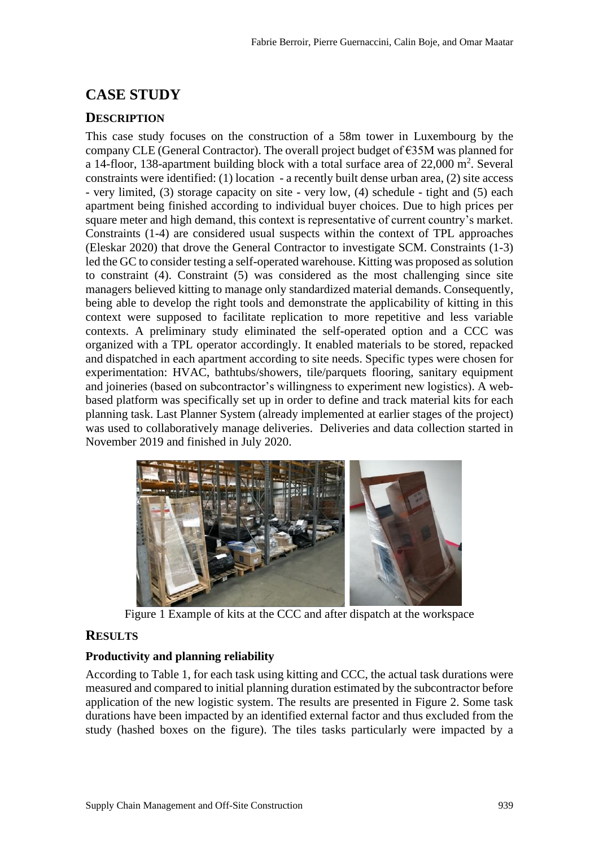# **CASE STUDY**

### **DESCRIPTION**

This case study focuses on the construction of a 58m tower in Luxembourg by the company CLE (General Contractor). The overall project budget of €35M was planned for a 14-floor, 138-apartment building block with a total surface area of  $22,000$  m<sup>2</sup>. Several constraints were identified: (1) location - a recently built dense urban area, (2) site access - very limited, (3) storage capacity on site - very low, (4) schedule - tight and (5) each apartment being finished according to individual buyer choices. Due to high prices per square meter and high demand, this context is representative of current country's market. Constraints (1-4) are considered usual suspects within the context of TPL approaches (Eleskar 2020) that drove the General Contractor to investigate SCM. Constraints (1-3) led the GC to consider testing a self-operated warehouse. Kitting was proposed as solution to constraint (4). Constraint (5) was considered as the most challenging since site managers believed kitting to manage only standardized material demands. Consequently, being able to develop the right tools and demonstrate the applicability of kitting in this context were supposed to facilitate replication to more repetitive and less variable contexts. A preliminary study eliminated the self-operated option and a CCC was organized with a TPL operator accordingly. It enabled materials to be stored, repacked and dispatched in each apartment according to site needs. Specific types were chosen for experimentation: HVAC, bathtubs/showers, tile/parquets flooring, sanitary equipment and joineries (based on subcontractor's willingness to experiment new logistics). A webbased platform was specifically set up in order to define and track material kits for each planning task. Last Planner System (already implemented at earlier stages of the project) was used to collaboratively manage deliveries. Deliveries and data collection started in November 2019 and finished in July 2020.



Figure 1 Example of kits at the CCC and after dispatch at the workspace

### **RESULTS**

### **Productivity and planning reliability**

According to Table 1, for each task using kitting and CCC, the actual task durations were measured and compared to initial planning duration estimated by the subcontractor before application of the new logistic system. The results are presented in Figure 2. Some task durations have been impacted by an identified external factor and thus excluded from the study (hashed boxes on the figure). The tiles tasks particularly were impacted by a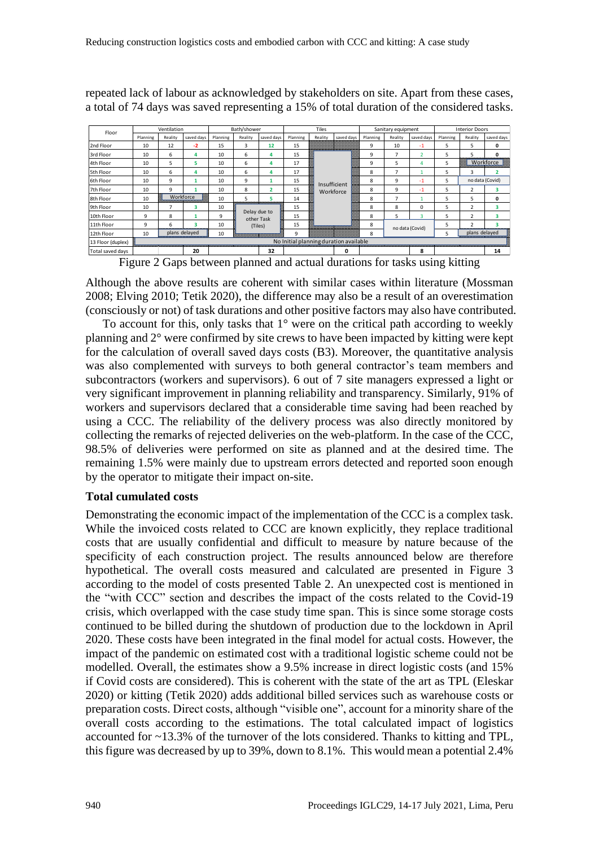| Floor             |          | Ventilation |                                                     |                  | Bath/shower             |                            |          | <b>Tiles</b>                                                                                                                                                                                                                         |                                        | Sanitary equipment |                 | <b>Interior Doors</b> |          |                          |                         |
|-------------------|----------|-------------|-----------------------------------------------------|------------------|-------------------------|----------------------------|----------|--------------------------------------------------------------------------------------------------------------------------------------------------------------------------------------------------------------------------------------|----------------------------------------|--------------------|-----------------|-----------------------|----------|--------------------------|-------------------------|
|                   | Planning | Reality     | saved days                                          | Planning         | Reality                 | saved days                 | Planning | Reality                                                                                                                                                                                                                              | saved days                             | Planning           | Reality         | saved days            | Planning | Reality                  | saved days              |
| 2nd Floor         | 10       | 12          | $-2$                                                | 15               | 3                       | 12                         | 15       |                                                                                                                                                                                                                                      |                                        | 9                  | 10              | $-1$                  | 5        | 5                        | 0                       |
| 3rd Floor         | 10       | 6           | 4                                                   | 10 <sup>10</sup> | 6                       | 4                          | 15       |                                                                                                                                                                                                                                      |                                        | 9                  | 7               | $\overline{2}$        | 5        | 5                        | 0                       |
| 4th Floor         | 10       | 5           | 5                                                   | 10               | 6                       | 4                          | 17       |                                                                                                                                                                                                                                      | Insufficient                           |                    | 5               |                       | 5        | W.                       | Workforce               |
| 5th Floor         | 10       | 6           | 4                                                   | 10               | 6                       | 4                          | 17       | <b>Contract of the Contract of the Contract of the Contract of the Contract of the Contract of the Contract of the Contract of the Contract of the Contract of the Contract of the Contract of the Contract of the Contract of t</b> |                                        |                    | $\overline{7}$  |                       | 5        | 3                        | $\overline{\mathbf{2}}$ |
| 6th Floor         | 10       | 9           |                                                     | 10               | 9                       | 1                          | 15       |                                                                                                                                                                                                                                      |                                        |                    | 9               | $-1$                  | 5        |                          | no data (Covid)         |
| 7th Floor         | 10       | 9           |                                                     | 10 <sup>10</sup> | 8                       | $\overline{2}$             | 15       |                                                                                                                                                                                                                                      | Workforce                              | 8                  | 9               | $-1$                  | 5        | $\overline{\phantom{a}}$ | 3                       |
| 8th Floor         | 10       |             | <b>San Workforce</b><br><i>Communication and Co</i> | 10               | 5                       |                            | 14       |                                                                                                                                                                                                                                      |                                        | 8                  | 7               |                       | 5        | 5                        | 0                       |
| 9th Floor         | 10       |             | R                                                   | 10               |                         |                            | 15       | e de la construcción de la construcción de la construcción de la construcción de la construcción de la construcción de la construcción de la construcción de la construcción de la construcción de la construcción de la const       |                                        | 8                  | 8               | $\Omega$              | 5        | $\overline{\phantom{a}}$ | 3                       |
| 10th Floor        | 9        | 8           |                                                     | 9                |                         | Delay due to<br>other Task | 15       |                                                                                                                                                                                                                                      |                                        | 8                  | 5               | 3                     | 5        | $\mathcal{P}$            | 3                       |
| 11th Floor        | 9        | 6           | 3                                                   | 10               |                         | (Tiles)                    | 15       |                                                                                                                                                                                                                                      |                                        | 8                  |                 |                       | 5        | $\mathcal{P}$            | 3                       |
| 12th Floor        | 10       |             | plans delayed                                       | 10               | ,,,,,,,,,,,,,,,,,,,,,,, |                            | q        |                                                                                                                                                                                                                                      |                                        |                    | no data (Covid) |                       | 5        | plans delayed            |                         |
| 13 Floor (duplex) |          |             |                                                     |                  |                         |                            |          |                                                                                                                                                                                                                                      | No Initial planning duration available |                    |                 |                       |          |                          |                         |
| Total saved days  |          |             | 20                                                  |                  |                         | 32                         |          |                                                                                                                                                                                                                                      | U                                      |                    |                 |                       |          |                          | 14                      |

repeated lack of labour as acknowledged by stakeholders on site. Apart from these cases,

Figure 2 Gaps between planned and actual durations for tasks using kitting

Although the above results are coherent with similar cases within literature (Mossman 2008; Elving 2010; Tetik 2020), the difference may also be a result of an overestimation (consciously or not) of task durations and other positive factors may also have contributed.

To account for this, only tasks that  $1^{\circ}$  were on the critical path according to weekly planning and 2° were confirmed by site crews to have been impacted by kitting were kept for the calculation of overall saved days costs (B3). Moreover, the quantitative analysis was also complemented with surveys to both general contractor's team members and subcontractors (workers and supervisors). 6 out of 7 site managers expressed a light or very significant improvement in planning reliability and transparency. Similarly, 91% of workers and supervisors declared that a considerable time saving had been reached by using a CCC. The reliability of the delivery process was also directly monitored by collecting the remarks of rejected deliveries on the web-platform. In the case of the CCC, 98.5% of deliveries were performed on site as planned and at the desired time. The remaining 1.5% were mainly due to upstream errors detected and reported soon enough by the operator to mitigate their impact on-site.

#### **Total cumulated costs**

Demonstrating the economic impact of the implementation of the CCC is a complex task. While the invoiced costs related to CCC are known explicitly, they replace traditional costs that are usually confidential and difficult to measure by nature because of the specificity of each construction project. The results announced below are therefore hypothetical. The overall costs measured and calculated are presented in Figure 3 according to the model of costs presented Table 2. An unexpected cost is mentioned in the "with CCC" section and describes the impact of the costs related to the Covid-19 crisis, which overlapped with the case study time span. This is since some storage costs continued to be billed during the shutdown of production due to the lockdown in April 2020. These costs have been integrated in the final model for actual costs. However, the impact of the pandemic on estimated cost with a traditional logistic scheme could not be modelled. Overall, the estimates show a 9.5% increase in direct logistic costs (and 15% if Covid costs are considered). This is coherent with the state of the art as TPL (Eleskar 2020) or kitting (Tetik 2020) adds additional billed services such as warehouse costs or preparation costs. Direct costs, although "visible one", account for a minority share of the overall costs according to the estimations. The total calculated impact of logistics accounted for ~13.3% of the turnover of the lots considered. Thanks to kitting and TPL, this figure was decreased by up to 39%, down to 8.1%. This would mean a potential 2.4%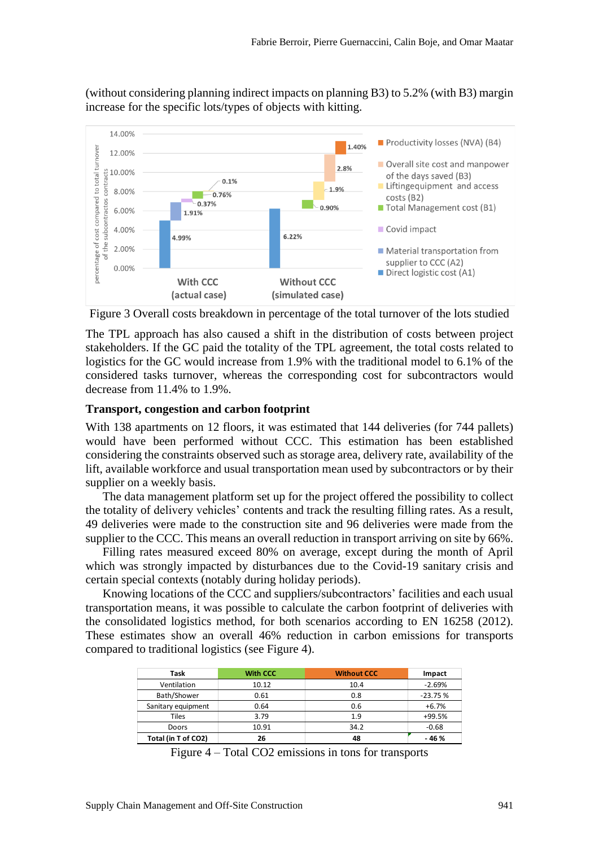(without considering planning indirect impacts on planning B3) to 5.2% (with B3) margin increase for the specific lots/types of objects with kitting.



Figure 3 Overall costs breakdown in percentage of the total turnover of the lots studied

The TPL approach has also caused a shift in the distribution of costs between project stakeholders. If the GC paid the totality of the TPL agreement, the total costs related to logistics for the GC would increase from 1.9% with the traditional model to 6.1% of the considered tasks turnover, whereas the corresponding cost for subcontractors would decrease from 11.4% to 1.9%.

#### **Transport, congestion and carbon footprint**

With 138 apartments on 12 floors, it was estimated that 144 deliveries (for 744 pallets) would have been performed without CCC. This estimation has been established considering the constraints observed such as storage area, delivery rate, availability of the lift, available workforce and usual transportation mean used by subcontractors or by their supplier on a weekly basis.

The data management platform set up for the project offered the possibility to collect the totality of delivery vehicles' contents and track the resulting filling rates. As a result, 49 deliveries were made to the construction site and 96 deliveries were made from the supplier to the CCC. This means an overall reduction in transport arriving on site by 66%.

Filling rates measured exceed 80% on average, except during the month of April which was strongly impacted by disturbances due to the Covid-19 sanitary crisis and certain special contexts (notably during holiday periods).

Knowing locations of the CCC and suppliers/subcontractors' facilities and each usual transportation means, it was possible to calculate the carbon footprint of deliveries with the consolidated logistics method, for both scenarios according to EN 16258 (2012). These estimates show an overall 46% reduction in carbon emissions for transports compared to traditional logistics (see Figure 4).

| Task                | <b>With CCC</b> | <b>Without CCC</b> | Impact    |
|---------------------|-----------------|--------------------|-----------|
| Ventilation         | 10.12           | 10.4               | $-2.69%$  |
| Bath/Shower         | 0.61            | 0.8                | $-23.75%$ |
| Sanitary equipment  | 0.64            | 0.6                | $+6.7%$   |
| Tiles               | 3.79            | 1.9                | +99.5%    |
| Doors               | 10.91           | 34.2               | $-0.68$   |
| Total (in T of CO2) | 26              | 48                 | - 46 %    |

Figure 4 – Total CO2 emissions in tons for transports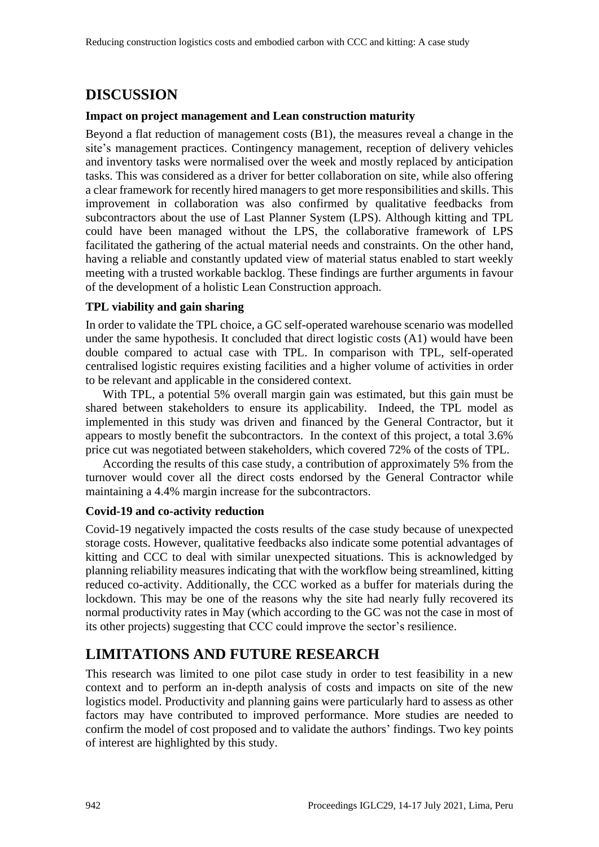# **DISCUSSION**

### **Impact on project management and Lean construction maturity**

Beyond a flat reduction of management costs (B1), the measures reveal a change in the site's management practices. Contingency management, reception of delivery vehicles and inventory tasks were normalised over the week and mostly replaced by anticipation tasks. This was considered as a driver for better collaboration on site, while also offering a clear framework for recently hired managers to get more responsibilities and skills. This improvement in collaboration was also confirmed by qualitative feedbacks from subcontractors about the use of Last Planner System (LPS). Although kitting and TPL could have been managed without the LPS, the collaborative framework of LPS facilitated the gathering of the actual material needs and constraints. On the other hand, having a reliable and constantly updated view of material status enabled to start weekly meeting with a trusted workable backlog. These findings are further arguments in favour of the development of a holistic Lean Construction approach.

### **TPL viability and gain sharing**

In order to validate the TPL choice, a GC self-operated warehouse scenario was modelled under the same hypothesis. It concluded that direct logistic costs (A1) would have been double compared to actual case with TPL. In comparison with TPL, self-operated centralised logistic requires existing facilities and a higher volume of activities in order to be relevant and applicable in the considered context.

With TPL, a potential 5% overall margin gain was estimated, but this gain must be shared between stakeholders to ensure its applicability. Indeed, the TPL model as implemented in this study was driven and financed by the General Contractor, but it appears to mostly benefit the subcontractors. In the context of this project, a total 3.6% price cut was negotiated between stakeholders, which covered 72% of the costs of TPL.

According the results of this case study, a contribution of approximately 5% from the turnover would cover all the direct costs endorsed by the General Contractor while maintaining a 4.4% margin increase for the subcontractors.

### **Covid-19 and co-activity reduction**

Covid-19 negatively impacted the costs results of the case study because of unexpected storage costs. However, qualitative feedbacks also indicate some potential advantages of kitting and CCC to deal with similar unexpected situations. This is acknowledged by planning reliability measures indicating that with the workflow being streamlined, kitting reduced co-activity. Additionally, the CCC worked as a buffer for materials during the lockdown. This may be one of the reasons why the site had nearly fully recovered its normal productivity rates in May (which according to the GC was not the case in most of its other projects) suggesting that CCC could improve the sector's resilience.

# **LIMITATIONS AND FUTURE RESEARCH**

This research was limited to one pilot case study in order to test feasibility in a new context and to perform an in-depth analysis of costs and impacts on site of the new logistics model. Productivity and planning gains were particularly hard to assess as other factors may have contributed to improved performance. More studies are needed to confirm the model of cost proposed and to validate the authors' findings. Two key points of interest are highlighted by this study.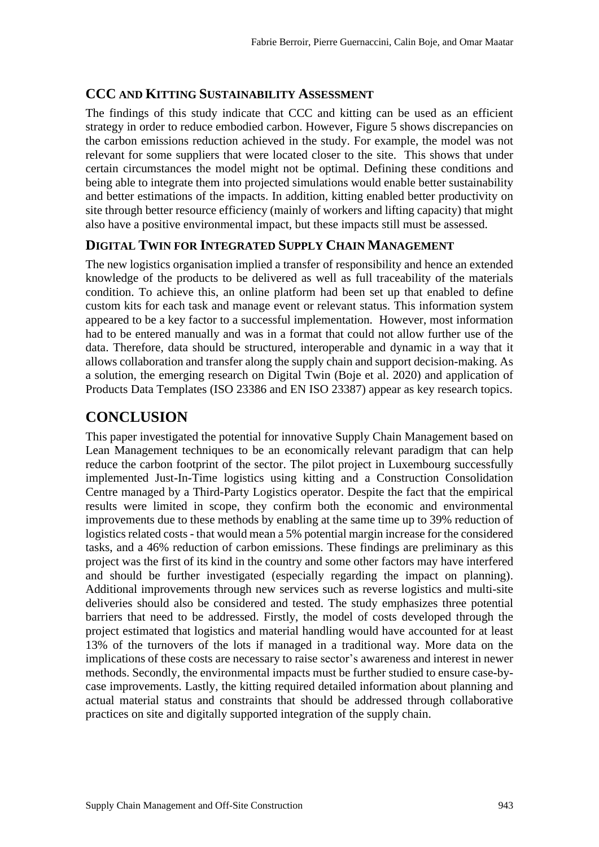### **CCC AND KITTING SUSTAINABILITY ASSESSMENT**

The findings of this study indicate that CCC and kitting can be used as an efficient strategy in order to reduce embodied carbon. However, Figure 5 shows discrepancies on the carbon emissions reduction achieved in the study. For example, the model was not relevant for some suppliers that were located closer to the site. This shows that under certain circumstances the model might not be optimal. Defining these conditions and being able to integrate them into projected simulations would enable better sustainability and better estimations of the impacts. In addition, kitting enabled better productivity on site through better resource efficiency (mainly of workers and lifting capacity) that might also have a positive environmental impact, but these impacts still must be assessed.

### **DIGITAL TWIN FOR INTEGRATED SUPPLY CHAIN MANAGEMENT**

The new logistics organisation implied a transfer of responsibility and hence an extended knowledge of the products to be delivered as well as full traceability of the materials condition. To achieve this, an online platform had been set up that enabled to define custom kits for each task and manage event or relevant status. This information system appeared to be a key factor to a successful implementation. However, most information had to be entered manually and was in a format that could not allow further use of the data. Therefore, data should be structured, interoperable and dynamic in a way that it allows collaboration and transfer along the supply chain and support decision-making. As a solution, the emerging research on Digital Twin (Boje et al. 2020) and application of Products Data Templates (ISO 23386 and EN ISO 23387) appear as key research topics.

# **CONCLUSION**

This paper investigated the potential for innovative Supply Chain Management based on Lean Management techniques to be an economically relevant paradigm that can help reduce the carbon footprint of the sector. The pilot project in Luxembourg successfully implemented Just-In-Time logistics using kitting and a Construction Consolidation Centre managed by a Third-Party Logistics operator. Despite the fact that the empirical results were limited in scope, they confirm both the economic and environmental improvements due to these methods by enabling at the same time up to 39% reduction of logistics related costs - that would mean a 5% potential margin increase for the considered tasks, and a 46% reduction of carbon emissions. These findings are preliminary as this project was the first of its kind in the country and some other factors may have interfered and should be further investigated (especially regarding the impact on planning). Additional improvements through new services such as reverse logistics and multi-site deliveries should also be considered and tested. The study emphasizes three potential barriers that need to be addressed. Firstly, the model of costs developed through the project estimated that logistics and material handling would have accounted for at least 13% of the turnovers of the lots if managed in a traditional way. More data on the implications of these costs are necessary to raise sector's awareness and interest in newer methods. Secondly, the environmental impacts must be further studied to ensure case-bycase improvements. Lastly, the kitting required detailed information about planning and actual material status and constraints that should be addressed through collaborative practices on site and digitally supported integration of the supply chain.